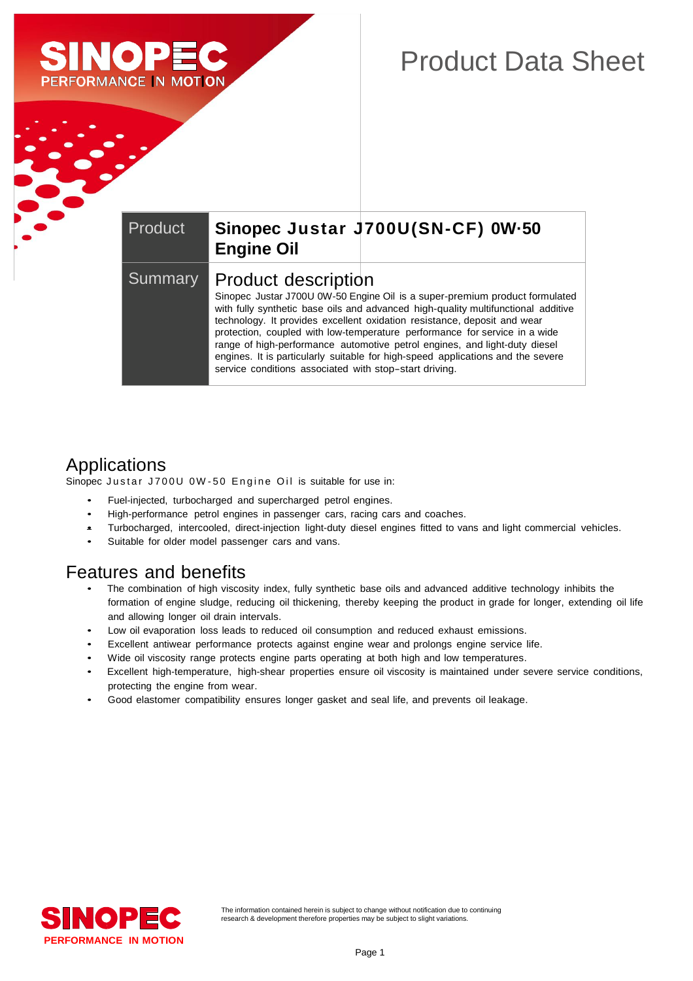

# Product Data Sheet

#### Product **Sinopec Justar J700U(SN-CF) 0W·50 Engine Oil** Summary | Product description Sinopec Justar J700U 0W-50 Engine Oil is a super-premium product formulated with fully synthetic base oils and advanced high-quality multifunctional additive technology. It provides excellent oxidation resistance, deposit and wear protection, coupled with low-temperature performance for service in a wide range of high-performance automotive petrol engines, and light-duty diesel engines. It is particularly suitable for high-speed applications and the severe service conditions associated with stop-start driving.

### Applications

Sinopec Justar J700U 0W-50 Engine Oil is suitable for use in:

- Fuel-injected, turbocharged and supercharged petrol engines.
- High-performance petrol engines in passenger cars, racing cars and coaches.
- Turbocharged, intercooled, direct-injection light-duty diesel engines fitted to vans and light commercial vehicles.
- Suitable for older model passenger cars and vans.

#### Features and benefits

- The combination of high viscosity index, fully synthetic base oils and advanced additive technology inhibits the formation of engine sludge, reducing oil thickening, thereby keeping the product in grade for longer, extending oil life and allowing longer oil drain intervals.
- Low oil evaporation loss leads to reduced oil consumption and reduced exhaust emissions.
- Excellent antiwear performance protects against engine wear and prolongs engine service life.
- Wide oil viscosity range protects engine parts operating at both high and low temperatures.
- Excellent high-temperature, high-shear properties ensure oil viscosity is maintained under severe service conditions, protecting the engine from wear.
- Good elastomer compatibility ensures longer gasket and seal life, and prevents oil leakage.

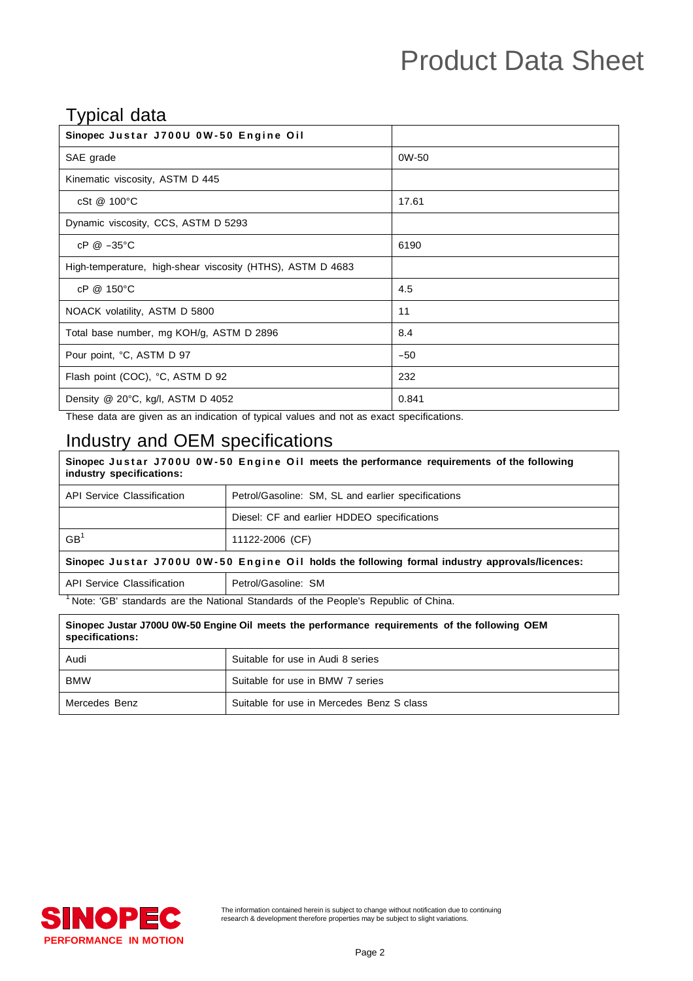# Product Data Sheet

#### Typical data

| ╯╹<br>Sinopec Justar J700U 0W-50 Engine Oil                |       |
|------------------------------------------------------------|-------|
| SAE grade                                                  | 0W-50 |
| Kinematic viscosity, ASTM D 445                            |       |
| cSt @ 100°C                                                | 17.61 |
| Dynamic viscosity, CCS, ASTM D 5293                        |       |
| $cP @ -35°C$                                               | 6190  |
| High-temperature, high-shear viscosity (HTHS), ASTM D 4683 |       |
| cP @ 150°C                                                 | 4.5   |
| NOACK volatility, ASTM D 5800                              | 11    |
| Total base number, mg KOH/g, ASTM D 2896                   | 8.4   |
| Pour point, °C, ASTM D 97                                  | $-50$ |
| Flash point (COC), °C, ASTM D 92                           | 232   |
| Density @ 20°C, kg/l, ASTM D 4052                          | 0.841 |

These data are given as an indication of typical values and not as exact specifications.

## Industry and OEM specifications

| Sinopec Justar J700U 0W-50 Engine Oil meets the performance requirements of the following<br>industry specifications:                                                                                                                                                                            |                                                    |  |
|--------------------------------------------------------------------------------------------------------------------------------------------------------------------------------------------------------------------------------------------------------------------------------------------------|----------------------------------------------------|--|
| API Service Classification                                                                                                                                                                                                                                                                       | Petrol/Gasoline: SM, SL and earlier specifications |  |
|                                                                                                                                                                                                                                                                                                  | Diesel: CF and earlier HDDEO specifications        |  |
| GB <sup>1</sup>                                                                                                                                                                                                                                                                                  | 11122-2006 (CF)                                    |  |
| Sinopec Justar J700U 0W-50 Engine Oil holds the following formal industry approvals/licences:                                                                                                                                                                                                    |                                                    |  |
| <b>API Service Classification</b>                                                                                                                                                                                                                                                                | Petrol/Gasoline: SM                                |  |
| $\mathbf{M}$ and $\mathbf{M}$ and $\mathbf{M}$ and $\mathbf{M}$ and $\mathbf{M}$ and $\mathbf{M}$ and $\mathbf{M}$ and $\mathbf{M}$ and $\mathbf{M}$ and $\mathbf{M}$ and $\mathbf{M}$ and $\mathbf{M}$ and $\mathbf{M}$ and $\mathbf{M}$ and $\mathbf{M}$ and $\mathbf{M}$ and $\mathbf{M}$ and |                                                    |  |

<sup>1</sup>Note: 'GB' standards are the National Standards of the People's Republic of China.

| Sinopec Justar J700U 0W-50 Engine Oil meets the performance requirements of the following OEM<br>specifications: |                                           |  |
|------------------------------------------------------------------------------------------------------------------|-------------------------------------------|--|
| Audi                                                                                                             | Suitable for use in Audi 8 series         |  |
| <b>BMW</b>                                                                                                       | Suitable for use in BMW 7 series          |  |
| Mercedes Benz                                                                                                    | Suitable for use in Mercedes Benz S class |  |